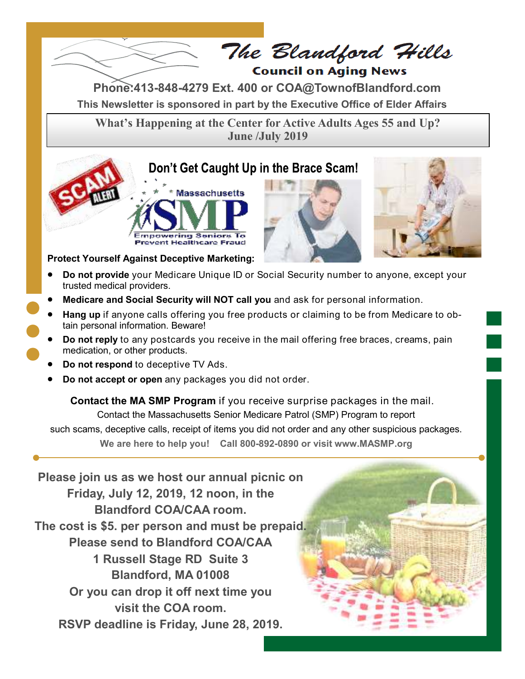

The Blandford Hills **Council on Aging News** 

**This Newsletter is sponsored in part by the Executive Office of Elder Affairs Phone:413-848-4279 Ext. 400 or COA@TownofBlandford.com**

**What's Happening at the Center for Active Adults Ages 55 and Up? June /July 2019**

# Don't Get Caught Up in the Brace Scam!







**Protect Yourself Against Deceptive Marketing:** 

- **Do not provide** your Medicare Unique ID or Social Security number to anyone, except your trusted medical providers.
- **Medicare and Social Security will NOT call you** and ask for personal information.
- **Hang up** if anyone calls offering you free products or claiming to be from Medicare to obtain personal information. Beware!
- **Do not reply** to any postcards you receive in the mail offering free braces, creams, pain medication, or other products.
- **Do not respond** to deceptive TV Ads.
- **Do not accept or open** any packages you did not order.

 **Contact the MA SMP Program** if you receive surprise packages in the mail. Contact the Massachusetts Senior Medicare Patrol (SMP) Program to report such scams, deceptive calls, receipt of items you did not order and any other suspicious packages. **We are here to help you! Call 800-892-0890 or visit www.MASMP.org**

**Please join us as we host our annual picnic on Friday, July 12, 2019, 12 noon, in the Blandford COA/CAA room. The cost is \$5. per person and must be prepaid. Please send to Blandford COA/CAA 1 Russell Stage RD Suite 3 Blandford, MA 01008 Or you can drop it off next time you visit the COA room. RSVP deadline is Friday, June 28, 2019.**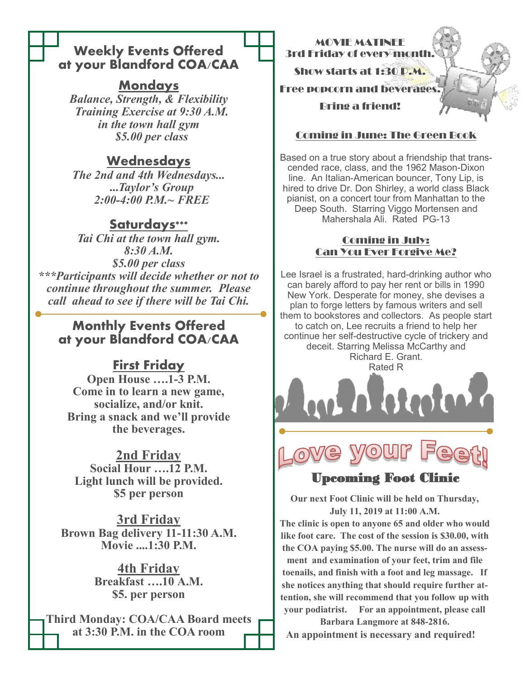## **Weekly Events Offered at your Blandford COA/CAA**

## **Mondays**

*Balance, Strength, & Flexibility Training Exercise at 9:30 A.M. in the town hall gym \$5.00 per class*

# **Wednesdays**

*The 2nd and 4th Wednesdays...*  **...***Taylor's Group 2:00-4:00 P.M.~ FREE*

## **Saturdays\*\*\***

*Tai Chi at the town hall gym. 8:30 A.M. \$5.00 per class \*\*\*Participants will decide whether or not to continue throughout the summer. Please call ahead to see if there will be Tai Chi.*

## **Monthly Events Offered at your Blandford COA/CAA**

# **First Friday**

**Open House ….1-3 P.M. Come in to learn a new game, socialize, and/or knit. Bring a snack and we'll provide the beverages.**

### **2nd Friday**

**Social Hour ….12 P.M. Light lunch will be provided. \$5 per person**

**3rd Friday Brown Bag delivery 11-11:30 A.M. Movie ....1:30 P.M.**

> **4th Friday Breakfast ….10 A.M. \$5. per person**

**Third Monday: COA/CAA Board meets at 3:30 P.M. in the COA room**

MOVIE MATINEE 3rd Friday of every month. Show starts at 1:30 P.M. Free popcorn and beverages. Bring a friend!

### Coming in June: The Green Book

Based on a true story about a friendship that transcended race, class, and the 1962 Mason-Dixon line. An Italian-American bouncer, Tony Lip, is hired to drive Dr. Don Shirley, a world class Black pianist, on a concert tour from Manhattan to the Deep South. Starring Viggo Mortensen and Mahershala Ali. Rated PG-13

#### Coming in July: Can You Ever Forgive Me?

Lee Israel is a frustrated, hard-drinking author who can barely afford to pay her rent or bills in 1990 New York. Desperate for money, she devises a plan to forge letters by famous writers and sell them to bookstores and collectors. As people start to catch on, Lee recruits a friend to help her continue her self-destructive cycle of trickery and deceit. Starring Melissa McCarthy and Richard E. Grant. Rated R



## Upcoming Foot Clinic

**Our next Foot Clinic will be held on Thursday, July 11, 2019 at 11:00 A.M.**

**The clinic is open to anyone 65 and older who would like foot care. The cost of the session is \$30.00, with the COA paying \$5.00. The nurse will do an assessment and examination of your feet, trim and file toenails, and finish with a foot and leg massage. If she notices anything that should require further attention, she will recommend that you follow up with your podiatrist. For an appointment, please call** 

**Barbara Langmore at 848-2816. An appointment is necessary and required!**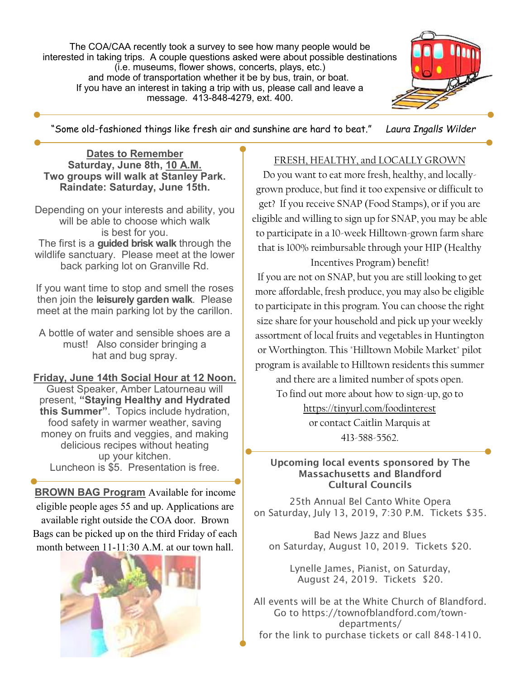The COA/CAA recently took a survey to see how many people would be interested in taking trips. A couple questions asked were about possible destinations (i.e. museums, flower shows, concerts, plays, etc.) and mode of transportation whether it be by bus, train, or boat. If you h[ave an](http://www.townofblandford.com:2095/cpsess1068882570/3rdparty/roundcube/?_task=mail&_uid=1285&_mbox=INBOX&_action=get&_part=2) interest in taking a trip with us, please call and leave a message. 413-848-4279, ext. 400.



"Some old-fashioned things like fresh air and sunshine are hard to beat." *Laura Ingalls Wilder*

#### **Dates to Remember Saturday, June 8th, 10 A.M. Two groups will walk at Stanley Park. Raindate: Saturday, June 15th.**

Depending on your interests and ability, you will be able to choose which walk is best for you. The first is a **guided brisk walk** through the wildlife sanctuary. Please meet at the lower back parking lot on Granville Rd.

If you want time to stop and smell the roses then join the **leisurely garden walk**. Please meet at the main parking lot by the carillon.

A bottle of water and sensible shoes are a must! Also consider bringing a hat and bug spray.

#### **Friday, June 14th Social Hour at 12 Noon.**

Guest Speaker, Amber Latourneau will present, **"Staying Healthy and Hydrated this Summer"**. Topics include hydration, food safety in warmer weather, saving money on fruits and veggies, and making delicious recipes without heating up your kitchen. Luncheon is \$5. Presentation is free.

**BROWN BAG Program** Available for income eligible people ages 55 and up. Applications are available right outside the COA door. Brown Bags can be picked up on the third Friday of each month between 11-11:30 A.M. at our town hall.



#### FRESH, HEALTHY, and LOCALLY GROWN

Do you want to eat more fresh, healthy, and locallygrown produce, but find it too expensive or difficult to get? If you receive SNAP (Food Stamps), or if you are eligible and willing to sign up for SNAP, you may be able to participate in a 10-week Hilltown-grown farm share that is 100% reimbursable through your HIP (Healthy Incentives Program) benefit!

If you are not on SNAP, but you are still looking to get more affordable, fresh produce, you may also be eligible to participate in this program. You can choose the right size share for your household and pick up your weekly assortment of local fruits and vegetables in Huntington or Worthington. This "Hilltown Mobile Market" pilot program is available to Hilltown residents this summer

and there are a limited number of spots open. To find out more about how to sign-up, go to <https://tinyurl.com/foodinterest>

> or contact Caitlin Marquis at 413-588-5562.

#### Upcoming local events sponsored by The Massachusetts and Blandford Cultural Councils

25th Annual Bel Canto White Opera on Saturday, July 13, 2019, 7:30 P.M. Tickets \$35.

Bad News Jazz and Blues on Saturday, August 10, 2019. Tickets \$20.

> Lynelle James, Pianist, on Saturday, August 24, 2019. Tickets \$20.

All events will be at the White Church of Blandford. Go to https://townofblandford.com/towndepartments/ for the link to purchase tickets or call 848-1410.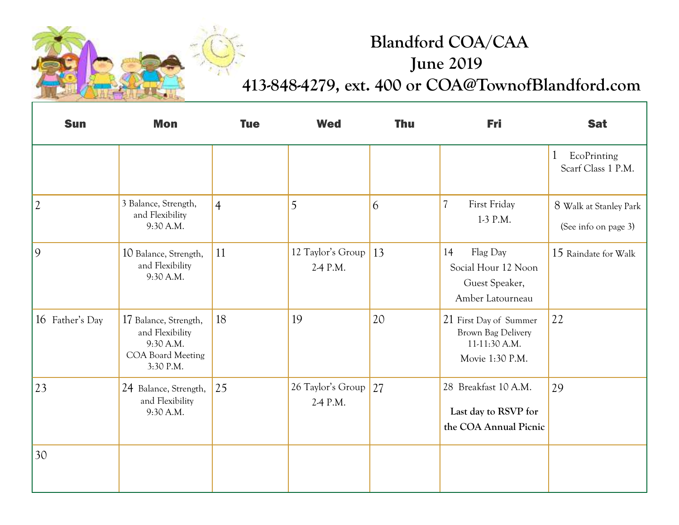

# **Blandford COA/CAA June 2019 413-848-4279, ext. 400 or COA@TownofBlandford.com**

| <b>Sun</b>      | <b>Mon</b>                                                                              | <b>Tue</b>     | <b>Wed</b>                       | <b>Thu</b> | <b>Fri</b>                                                                       | <b>Sat</b>                                        |
|-----------------|-----------------------------------------------------------------------------------------|----------------|----------------------------------|------------|----------------------------------------------------------------------------------|---------------------------------------------------|
|                 |                                                                                         |                |                                  |            |                                                                                  | $\mathbf{1}$<br>EcoPrinting<br>Scarf Class 1 P.M. |
| $ 2\rangle$     | 3 Balance, Strength,<br>and Flexibility<br>9:30 A.M.                                    | $\overline{4}$ | 5                                | 6          | $\overline{\mathcal{U}}$<br>First Friday<br>1-3 P.M.                             | 8 Walk at Stanley Park<br>(See info on page 3)    |
| $ 9\rangle$     | 10 Balance, Strength,<br>and Flexibility<br>9:30 A.M.                                   | 11             | 12 Taylor's Group<br>2-4 P.M.    | 13         | Flag Day<br>14<br>Social Hour 12 Noon<br>Guest Speaker,<br>Amber Latourneau      | 15 Raindate for Walk                              |
| 16 Father's Day | 17 Balance, Strength,<br>and Flexibility<br>9:30 A.M.<br>COA Board Meeting<br>3:30 P.M. | 18             | 19                               | 20         | 21 First Day of Summer<br>Brown Bag Delivery<br>11-11:30 A.M.<br>Movie 1:30 P.M. | 22                                                |
| 23              | 24 Balance, Strength,<br>and Flexibility<br>9:30 A.M.                                   | 25             | 26 Taylor's Group 27<br>2-4 P.M. |            | 28 Breakfast 10 A.M.<br>Last day to RSVP for<br>the COA Annual Picnic            | 29                                                |
| 30              |                                                                                         |                |                                  |            |                                                                                  |                                                   |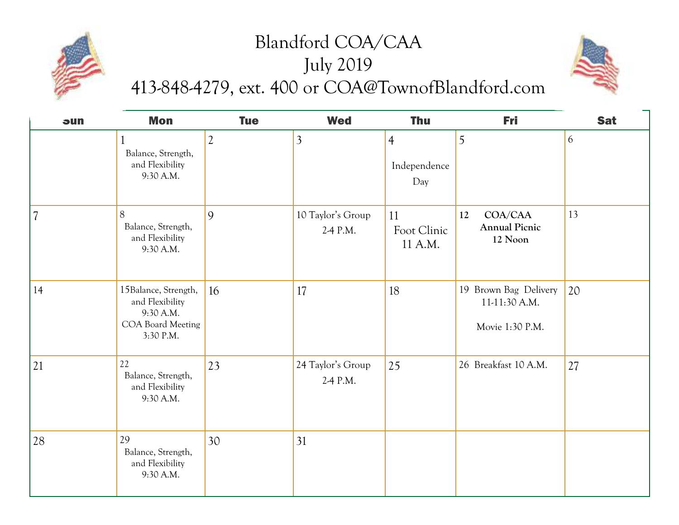# Blandford COA/CAA July 2019 413-848-4279, ext. 400 or COA@TownofBlandford.com



| sun                      | <b>Mon</b>                                                                             | <b>Tue</b>     | <b>Wed</b>                    | <b>Thu</b>                            | Fri                                                       | <b>Sat</b> |
|--------------------------|----------------------------------------------------------------------------------------|----------------|-------------------------------|---------------------------------------|-----------------------------------------------------------|------------|
|                          | Balance, Strength,<br>and Flexibility<br>9:30 A.M.                                     | $\overline{2}$ | $\overline{3}$                | $\overline{4}$<br>Independence<br>Day | 5                                                         | 6          |
| $\overline{\mathcal{U}}$ | 8<br>Balance, Strength,<br>and Flexibility<br>9:30 A.M.                                | 9              | 10 Taylor's Group<br>2-4 P.M. | 11<br>Foot Clinic<br>11 A.M.          | COA/CAA<br>12<br><b>Annual Picnic</b><br>12 Noon          | 13         |
| 14                       | 15Balance, Strength,<br>and Flexibility<br>9:30 A.M.<br>COA Board Meeting<br>3:30 P.M. | 16             | 17                            | 18                                    | 19 Brown Bag Delivery<br>11-11:30 A.M.<br>Movie 1:30 P.M. | 20         |
| 21                       | 22<br>Balance, Strength,<br>and Flexibility<br>9:30 A.M.                               | 23             | 24 Taylor's Group<br>2-4 P.M. | 25                                    | 26 Breakfast 10 A.M.                                      | 27         |
| 28                       | 29<br>Balance, Strength,<br>and Flexibility<br>9:30 A.M.                               | 30             | 31                            |                                       |                                                           |            |